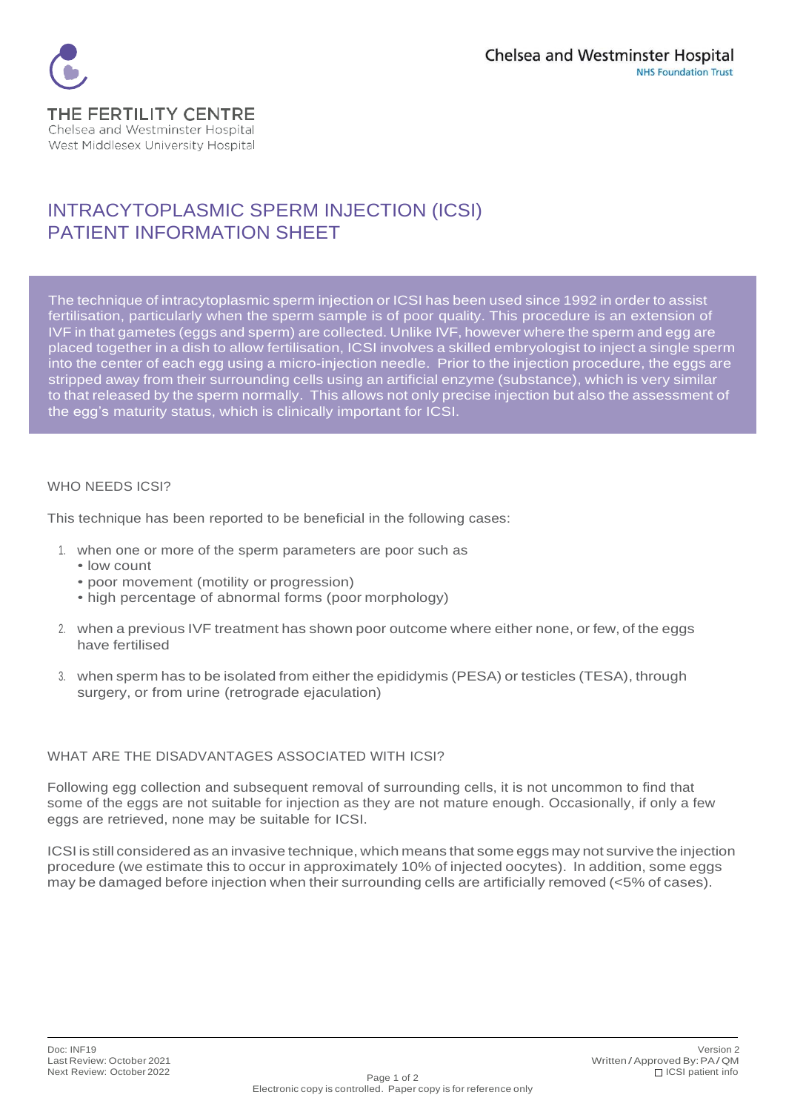

## INTRACYTOPLASMIC SPERM INJECTION (ICSI) PATIENT INFORMATION SHEET

The technique of intracytoplasmic sperm injection or ICSIhasbeen used since 1992 in order to assist fertilisation, particularly when the sperm sample is of poor quality. This procedure is an extension of IVF in that gametes (eggs and sperm) are collected. Unlike IVF, however where the sperm and egg are placed together in a dish to allow fertilisation, ICSI involves a skilled embryologist to inject a single sperm into the center of each egg using a micro-injection needle. Prior to the injection procedure, the eggs are stripped away from their surrounding cells using an artificial enzyme (substance), which is very similar to that released by the sperm normally. This allows not only precise injection but also the assessment of the egg's maturity status, which is clinically important for ICSI.

## WHO NEEDS ICSI?

This technique has been reported to be beneficial in the following cases:

- 1. when one or more of the sperm parameters are poor such as
	- low count
	- poor movement (motility or progression)
	- high percentage of abnormal forms (poor morphology)
- 2. when a previous IVF treatment has shown poor outcome where either none, or few, of the eggs have fertilised
- 3. when sperm has to be isolated from either the epididymis (PESA) or testicles (TESA), through surgery, or from urine (retrograde ejaculation)

## WHAT ARE THE DISADVANTAGES ASSOCIATED WITH ICSI?

Following egg collection and subsequent removal of surrounding cells, it is not uncommon to find that some of the eggs are not suitable for injection as they are not mature enough. Occasionally, if only a few eggs are retrieved, none may be suitable for ICSI.

ICSI is still considered as an invasive technique, which means that some eggs may not survive the injection procedure (we estimate this to occur in approximately 10% of injected oocytes). In addition, some eggs may be damaged before injection when their surrounding cells are artificially removed (<5% of cases).